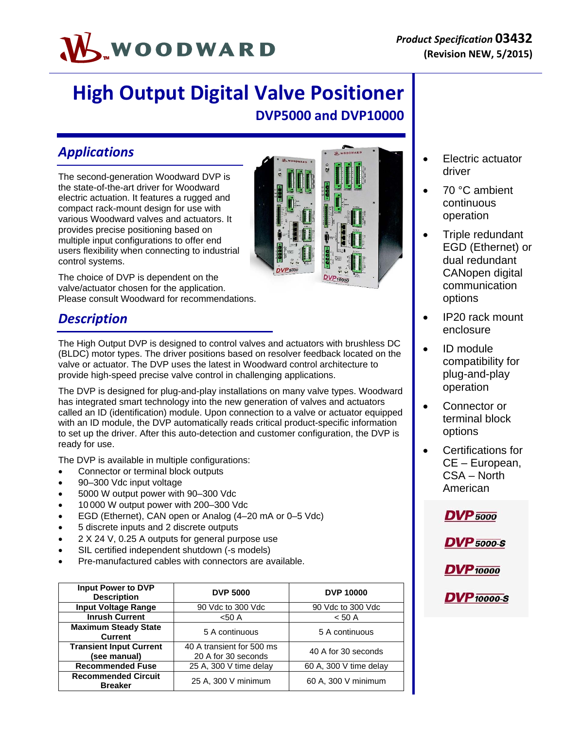# WOODWARD

## **High Output Digital Valve Positioner DVP5000 and DVP10000**

## *Applications*

The second-generation Woodward DVP is the state-of-the-art driver for Woodward electric actuation. It features a rugged and compact rack-mount design for use with various Woodward valves and actuators. It provides precise positioning based on multiple input configurations to offer end users flexibility when connecting to industrial control systems.

The choice of DVP is dependent on the valve/actuator chosen for the application. Please consult Woodward for recommendations.

## *Description*

The High Output DVP is designed to control valves and actuators with brushless DC (BLDC) motor types. The driver positions based on resolver feedback located on the valve or actuator. The DVP uses the latest in Woodward control architecture to provide high-speed precise valve control in challenging applications.

The DVP is designed for plug-and-play installations on many valve types. Woodward has integrated smart technology into the new generation of valves and actuators called an ID (identification) module. Upon connection to a valve or actuator equipped with an ID module, the DVP automatically reads critical product-specific information to set up the driver. After this auto-detection and customer configuration, the DVP is ready for use.

The DVP is available in multiple configurations:

- Connector or terminal block outputs
- 90–300 Vdc input voltage
- 5000 W output power with 90–300 Vdc
- 10 000 W output power with 200–300 Vdc
- EGD (Ethernet), CAN open or Analog (4–20 mA or 0–5 Vdc)
- 5 discrete inputs and 2 discrete outputs
- 2 X 24 V, 0.25 A outputs for general purpose use
- SIL certified independent shutdown (-s models)
- Pre-manufactured cables with connectors are available.

| <b>Input Power to DVP</b><br><b>Description</b> | <b>DVP 5000</b>                                  | <b>DVP 10000</b>       |
|-------------------------------------------------|--------------------------------------------------|------------------------|
| <b>Input Voltage Range</b>                      | 90 Vdc to 300 Vdc                                | 90 Vdc to 300 Vdc      |
| <b>Inrush Current</b>                           | $<$ 50 A                                         | < 50 A                 |
| <b>Maximum Steady State</b><br><b>Current</b>   | 5 A continuous                                   | 5 A continuous         |
| <b>Transient Input Current</b><br>(see manual)  | 40 A transient for 500 ms<br>20 A for 30 seconds | 40 A for 30 seconds    |
| <b>Recommended Fuse</b>                         | 25 A, 300 V time delay                           | 60 A, 300 V time delay |
| <b>Recommended Circuit</b><br><b>Breaker</b>    | 25 A, 300 V minimum                              | 60 A, 300 V minimum    |



- Electric actuator driver
- 70 °C ambient continuous operation
- Triple redundant EGD (Ethernet) or dual redundant CANopen digital communication options
- IP20 rack mount enclosure
- ID module compatibility for plug-and-play operation
- Connector or terminal block options
- Certifications for CE – European, CSA – North American

 $DVP$  5000

 $DVP$  5000-S

 $DVP$ 10000

 $DVP$ 10000-S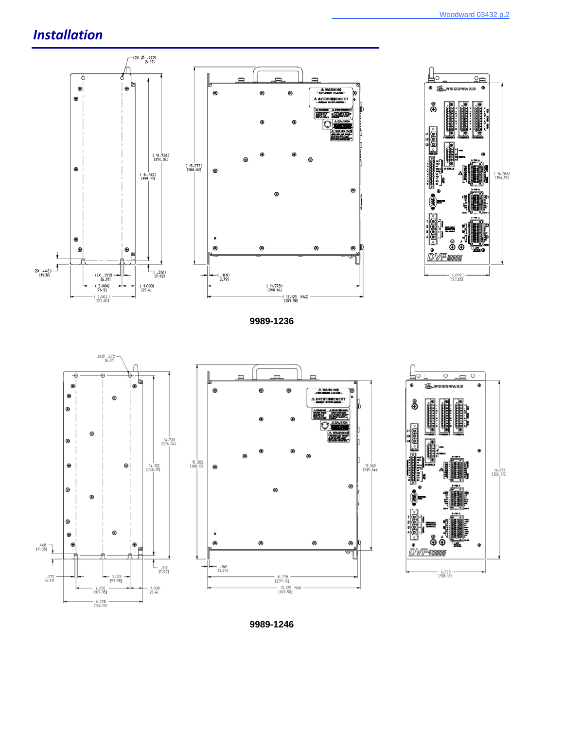$\overline{2}$ 

14.036)<br>[356.51]

## *Installation*



**9989-1236** 



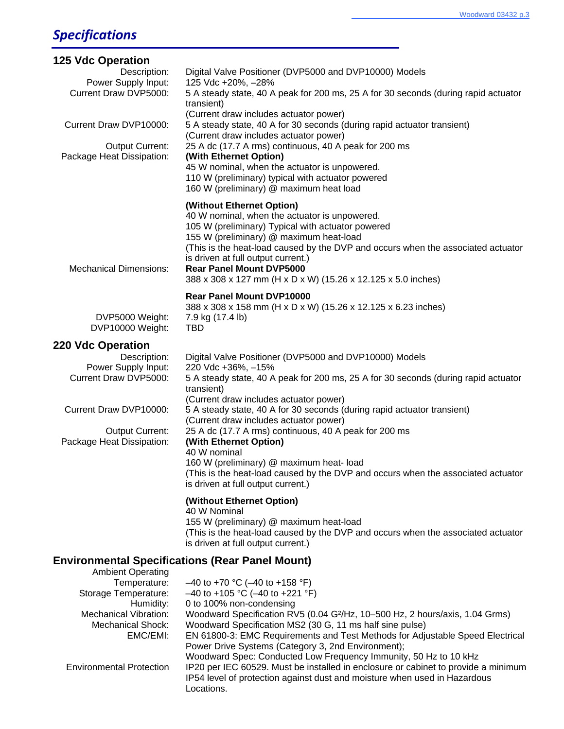## *Specifications*

| <b>125 Vdc Operation</b>                                     |                                                                                                                                                                                                                                                                                                                                                                                                         |
|--------------------------------------------------------------|---------------------------------------------------------------------------------------------------------------------------------------------------------------------------------------------------------------------------------------------------------------------------------------------------------------------------------------------------------------------------------------------------------|
| Description:<br>Power Supply Input:<br>Current Draw DVP5000: | Digital Valve Positioner (DVP5000 and DVP10000) Models<br>125 Vdc +20%, -28%<br>5 A steady state, 40 A peak for 200 ms, 25 A for 30 seconds (during rapid actuator                                                                                                                                                                                                                                      |
|                                                              | transient)<br>(Current draw includes actuator power)                                                                                                                                                                                                                                                                                                                                                    |
| Current Draw DVP10000:                                       | 5 A steady state, 40 A for 30 seconds (during rapid actuator transient)<br>(Current draw includes actuator power)                                                                                                                                                                                                                                                                                       |
| <b>Output Current:</b><br>Package Heat Dissipation:          | 25 A dc (17.7 A rms) continuous, 40 A peak for 200 ms<br>(With Ethernet Option)<br>45 W nominal, when the actuator is unpowered.<br>110 W (preliminary) typical with actuator powered<br>160 W (preliminary) @ maximum heat load                                                                                                                                                                        |
| <b>Mechanical Dimensions:</b>                                | (Without Ethernet Option)<br>40 W nominal, when the actuator is unpowered.<br>105 W (preliminary) Typical with actuator powered<br>155 W (preliminary) @ maximum heat-load<br>(This is the heat-load caused by the DVP and occurs when the associated actuator<br>is driven at full output current.)<br><b>Rear Panel Mount DVP5000</b><br>388 x 308 x 127 mm (H x D x W) (15.26 x 12.125 x 5.0 inches) |
| DVP5000 Weight:<br>DVP10000 Weight:                          | <b>Rear Panel Mount DVP10000</b><br>388 x 308 x 158 mm (H x D x W) (15.26 x 12.125 x 6.23 inches)<br>7.9 kg (17.4 lb)<br><b>TBD</b>                                                                                                                                                                                                                                                                     |
| 220 Vdc Operation                                            |                                                                                                                                                                                                                                                                                                                                                                                                         |
| Description:<br>Power Supply Input:                          | Digital Valve Positioner (DVP5000 and DVP10000) Models<br>220 Vdc +36%, -15%                                                                                                                                                                                                                                                                                                                            |
| Current Draw DVP5000:                                        | 5 A steady state, 40 A peak for 200 ms, 25 A for 30 seconds (during rapid actuator<br>transient)                                                                                                                                                                                                                                                                                                        |
| Current Draw DVP10000:                                       | (Current draw includes actuator power)<br>5 A steady state, 40 A for 30 seconds (during rapid actuator transient)<br>(Current draw includes actuator power)                                                                                                                                                                                                                                             |
| <b>Output Current:</b><br>Package Heat Dissipation:          | 25 A dc (17.7 A rms) continuous, 40 A peak for 200 ms<br>(With Ethernet Option)<br>40 W nominal                                                                                                                                                                                                                                                                                                         |
|                                                              | 160 W (preliminary) @ maximum heat- load<br>(This is the heat-load caused by the DVP and occurs when the associated actuator<br>is driven at full output current.)                                                                                                                                                                                                                                      |
|                                                              | (Without Ethernet Option)<br>40 W Nominal<br>155 W (preliminary) @ maximum heat-load<br>(This is the heat-load caused by the DVP and occurs when the associated actuator<br>is driven at full output current.)                                                                                                                                                                                          |
|                                                              | Environmental Specifications (Rear Panel Mount)                                                                                                                                                                                                                                                                                                                                                         |
| <b>Ambient Operating</b><br>Temperature:                     | $-40$ to +70 °C (-40 to +158 °F)                                                                                                                                                                                                                                                                                                                                                                        |
| Storage Temperature:                                         | $-40$ to +105 °C (-40 to +221 °F)                                                                                                                                                                                                                                                                                                                                                                       |
| Humidity:<br>Mechanical Vibration:                           | 0 to 100% non-condensing<br>Woodward Specification RV5 (0.04 G <sup>2</sup> /Hz, 10–500 Hz, 2 hours/axis, 1.04 Grms)                                                                                                                                                                                                                                                                                    |
| <b>Mechanical Shock:</b><br>FMC/FMI                          | Woodward Specification MS2 (30 G, 11 ms half sine pulse)<br>EN 61800-3: EMC Requirements and Test Methods for Adjustable Speed Flectrical                                                                                                                                                                                                                                                               |

 EMC/EMI: EN 61800-3: EMC Requirements and Test Methods for Adjustable Speed Electrical Power Drive Systems (Category 3, 2nd Environment); Woodward Spec: Conducted Low Frequency Immunity, 50 Hz to 10 kHz<br>Environmental Protection IP20 per IEC 60529. Must be installed in enclosure or cabinet to provide IP20 per IEC 60529. Must be installed in enclosure or cabinet to provide a minimum IP54 level of protection against dust and moisture when used in Hazardous Locations.